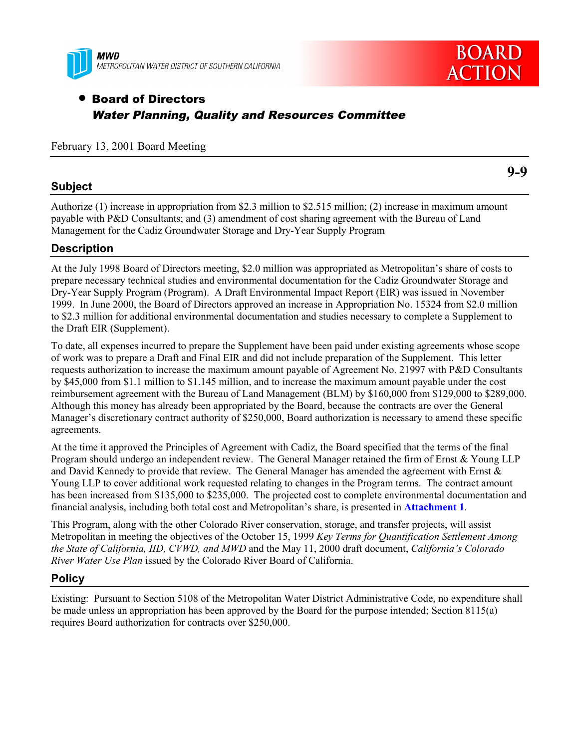



# • Board of Directors Water Planning, Quality and Resources Committee

#### February 13, 2001 Board Meeting

### **Subject**

Authorize (1) increase in appropriation from \$2.3 million to \$2.515 million; (2) increase in maximum amount payable with P&D Consultants; and (3) amendment of cost sharing agreement with the Bureau of Land Management for the Cadiz Groundwater Storage and Dry-Year Supply Program

### **Description**

At the July 1998 Board of Directors meeting, \$2.0 million was appropriated as Metropolitan's share of costs to prepare necessary technical studies and environmental documentation for the Cadiz Groundwater Storage and Dry-Year Supply Program (Program). A Draft Environmental Impact Report (EIR) was issued in November 1999. In June 2000, the Board of Directors approved an increase in Appropriation No. 15324 from \$2.0 million to \$2.3 million for additional environmental documentation and studies necessary to complete a Supplement to the Draft EIR (Supplement).

To date, all expenses incurred to prepare the Supplement have been paid under existing agreements whose scope of work was to prepare a Draft and Final EIR and did not include preparation of the Supplement. This letter requests authorization to increase the maximum amount payable of Agreement No. 21997 with P&D Consultants by \$45,000 from \$1.1 million to \$1.145 million, and to increase the maximum amount payable under the cost reimbursement agreement with the Bureau of Land Management (BLM) by \$160,000 from \$129,000 to \$289,000. Although this money has already been appropriated by the Board, because the contracts are over the General Manager's discretionary contract authority of \$250,000, Board authorization is necessary to amend these specific agreements.

At the time it approved the Principles of Agreement with Cadiz, the Board specified that the terms of the final Program should undergo an independent review. The General Manager retained the firm of Ernst & Young LLP and David Kennedy to provide that review. The General Manager has amended the agreement with Ernst & Young LLP to cover additional work requested relating to changes in the Program terms. The contract amount has been increased from \$135,000 to \$235,000. The projected cost to complete environmental documentation and financial analysis, including both total cost and Metropolitan's share, is presented in **Attachment 1**.

This Program, along with the other Colorado River conservation, storage, and transfer projects, will assist Metropolitan in meeting the objectives of the October 15, 1999 *Key Terms for Quantification Settlement Among the State of California, IID, CVWD, and MWD* and the May 11, 2000 draft document, *California's Colorado River Water Use Plan* issued by the Colorado River Board of California.

### **Policy**

Existing: Pursuant to Section 5108 of the Metropolitan Water District Administrative Code, no expenditure shall be made unless an appropriation has been approved by the Board for the purpose intended; Section 8115(a) requires Board authorization for contracts over \$250,000.

**9-9**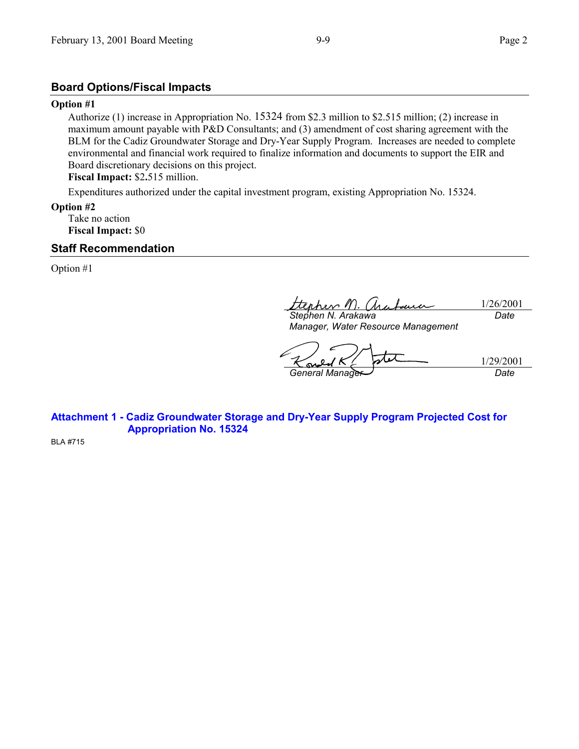# **Board Options/Fiscal Impacts**

### **Option #1**

Authorize (1) increase in Appropriation No. 15324 from \$2.3 million to \$2.515 million; (2) increase in maximum amount payable with P&D Consultants; and (3) amendment of cost sharing agreement with the BLM for the Cadiz Groundwater Storage and Dry-Year Supply Program. Increases are needed to complete environmental and financial work required to finalize information and documents to support the EIR and Board discretionary decisions on this project.

**Fiscal Impact:** \$2**.**515 million.

Expenditures authorized under the capital investment program, existing Appropriation No. 15324.

**Option #2**

Take no action **Fiscal Impact:** \$0

### **Staff Recommendation**

Option #1

her 1 1/26/2001 *Stephen N. Arakawa Date*

*Manager, Water Resource Management*

1/29/2001

*General Manager Date*

**N** 

**Attachment 1 - Cadiz Groundwater Storage and Dry-Year Supply Program Projected Cost for Appropriation No. 15324**

BLA #715